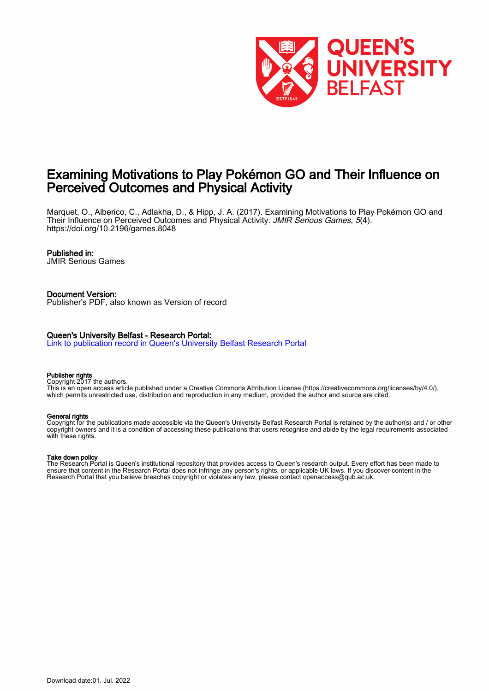

# Examining Motivations to Play Pokémon GO and Their Influence on Perceived Outcomes and Physical Activity

Marquet, O., Alberico, C., Adlakha, D., & Hipp, J. A. (2017). Examining Motivations to Play Pokémon GO and Their Influence on Perceived Outcomes and Physical Activity. JMIR Serious Games, 5(4). <https://doi.org/10.2196/games.8048>

#### Published in:

JMIR Serious Games

#### Document Version: Publisher's PDF, also known as Version of record

#### Queen's University Belfast - Research Portal:

[Link to publication record in Queen's University Belfast Research Portal](https://pure.qub.ac.uk/en/publications/abb214b8-5bcd-4055-a4d7-ee75f554e91f)

#### Publisher rights

Copyright 2017 the authors.

This is an open access article published under a Creative Commons Attribution License (https://creativecommons.org/licenses/by/4.0/), which permits unrestricted use, distribution and reproduction in any medium, provided the author and source are cited.

#### General rights

Copyright for the publications made accessible via the Queen's University Belfast Research Portal is retained by the author(s) and / or other copyright owners and it is a condition of accessing these publications that users recognise and abide by the legal requirements associated with these rights.

#### Take down policy

The Research Portal is Queen's institutional repository that provides access to Queen's research output. Every effort has been made to ensure that content in the Research Portal does not infringe any person's rights, or applicable UK laws. If you discover content in the Research Portal that you believe breaches copyright or violates any law, please contact openaccess@qub.ac.uk.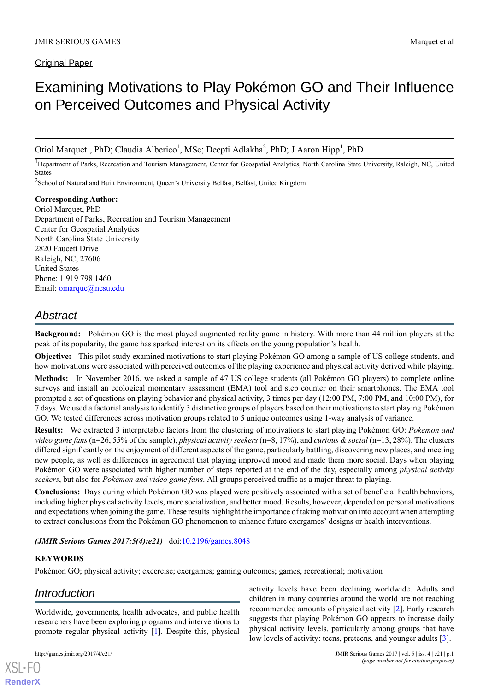**Original Paper** 

# Examining Motivations to Play Pokémon GO and Their Influence on Perceived Outcomes and Physical Activity

Oriol Marquet<sup>1</sup>, PhD; Claudia Alberico<sup>1</sup>, MSc; Deepti Adlakha<sup>2</sup>, PhD; J Aaron Hipp<sup>1</sup>, PhD

<sup>1</sup>Department of Parks, Recreation and Tourism Management, Center for Geospatial Analytics, North Carolina State University, Raleigh, NC, United States

<sup>2</sup>School of Natural and Built Environment, Queen's University Belfast, Belfast, United Kingdom

**Corresponding Author:** Oriol Marquet, PhD Department of Parks, Recreation and Tourism Management Center for Geospatial Analytics North Carolina State University 2820 Faucett Drive Raleigh, NC, 27606 United States Phone: 1 919 798 1460 Email: **[omarque@ncsu.edu](mailto:omarque@ncsu.edu)** 

# *Abstract*

**Background:** Pokémon GO is the most played augmented reality game in history. With more than 44 million players at the peak of its popularity, the game has sparked interest on its effects on the young population's health.

**Objective:** This pilot study examined motivations to start playing Pokémon GO among a sample of US college students, and how motivations were associated with perceived outcomes of the playing experience and physical activity derived while playing.

**Methods:** In November 2016, we asked a sample of 47 US college students (all Pokémon GO players) to complete online surveys and install an ecological momentary assessment (EMA) tool and step counter on their smartphones. The EMA tool prompted a set of questions on playing behavior and physical activity, 3 times per day (12:00 PM, 7:00 PM, and 10:00 PM), for 7 days. We used a factorial analysis to identify 3 distinctive groups of players based on their motivations to start playing Pokémon GO. We tested differences across motivation groups related to 5 unique outcomes using 1-way analysis of variance.

**Results:** We extracted 3 interpretable factors from the clustering of motivations to start playing Pokémon GO: *Pokémon and video game fans* (n=26, 55% of the sample), *physical activity seekers* (n=8, 17%), and *curious & social* (n=13, 28%). The clusters differed significantly on the enjoyment of different aspects of the game, particularly battling, discovering new places, and meeting new people, as well as differences in agreement that playing improved mood and made them more social. Days when playing Pokémon GO were associated with higher number of steps reported at the end of the day, especially among *physical activity seekers*, but also for *Pokémon and video game fans*. All groups perceived traffic as a major threat to playing.

**Conclusions:** Days during which Pokémon GO was played were positively associated with a set of beneficial health behaviors, including higher physical activity levels, more socialization, and better mood. Results, however, depended on personal motivations and expectations when joining the game. These results highlight the importance of taking motivation into account when attempting to extract conclusions from the Pokémon GO phenomenon to enhance future exergames' designs or health interventions.

# *(JMIR Serious Games 2017;5(4):e21)* doi[:10.2196/games.8048](http://dx.doi.org/10.2196/games.8048)

#### **KEYWORDS**

Pokémon GO; physical activity; excercise; exergames; gaming outcomes; games, recreational; motivation

# *Introduction*

Worldwide, governments, health advocates, and public health researchers have been exploring programs and interventions to promote regular physical activity [[1](#page-9-0)]. Despite this, physical

[XSL](http://www.w3.org/Style/XSL)•FO **[RenderX](http://www.renderx.com/)**

children in many countries around the world are not reaching recommended amounts of physical activity [[2\]](#page-9-1). Early research suggests that playing Pokémon GO appears to increase daily physical activity levels, particularly among groups that have low levels of activity: teens, preteens, and younger adults [[3\]](#page-9-2).

activity levels have been declining worldwide. Adults and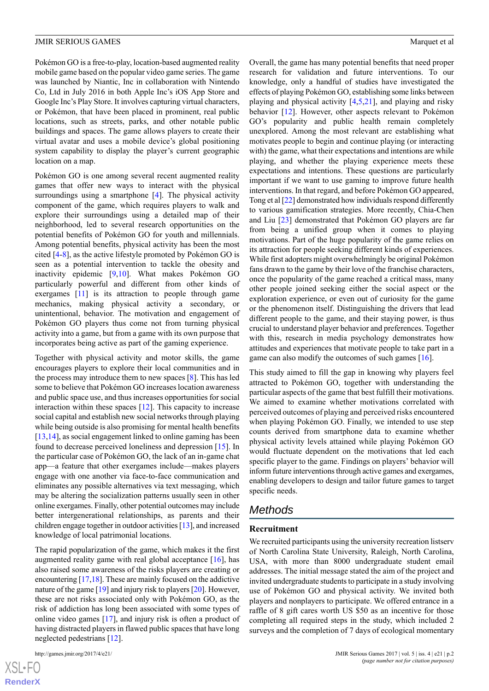Pokémon GO is a free-to-play, location-based augmented reality mobile game based on the popular video game series. The game was launched by Niantic, Inc in collaboration with Nintendo Co, Ltd in July 2016 in both Apple Inc's iOS App Store and Google Inc's Play Store. It involves capturing virtual characters, or Pokémon, that have been placed in prominent, real public locations, such as streets, parks, and other notable public buildings and spaces. The game allows players to create their virtual avatar and uses a mobile device's global positioning system capability to display the player's current geographic location on a map.

Pokémon GO is one among several recent augmented reality games that offer new ways to interact with the physical surroundings using a smartphone [[4\]](#page-9-3). The physical activity component of the game, which requires players to walk and explore their surroundings using a detailed map of their neighborhood, led to several research opportunities on the potential benefits of Pokémon GO for youth and millennials. Among potential benefits, physical activity has been the most cited [[4-](#page-9-3)[8\]](#page-9-4), as the active lifestyle promoted by Pokémon GO is seen as a potential intervention to tackle the obesity and inactivity epidemic [\[9](#page-9-5),[10\]](#page-9-6). What makes Pokémon GO particularly powerful and different from other kinds of exergames [[11](#page-9-7)] is its attraction to people through game mechanics, making physical activity a secondary, or unintentional, behavior. The motivation and engagement of Pokémon GO players thus come not from turning physical activity into a game, but from a game with its own purpose that incorporates being active as part of the gaming experience.

Together with physical activity and motor skills, the game encourages players to explore their local communities and in the process may introduce them to new spaces [[8\]](#page-9-4). This has led some to believe that Pokémon GO increases location awareness and public space use, and thus increases opportunities for social interaction within these spaces [\[12](#page-9-8)]. This capacity to increase social capital and establish new social networks through playing while being outside is also promising for mental health benefits [[13](#page-9-9)[,14](#page-9-10)], as social engagement linked to online gaming has been found to decrease perceived loneliness and depression [[15\]](#page-9-11). In the particular case of Pokémon GO, the lack of an in-game chat app—a feature that other exergames include—makes players engage with one another via face-to-face communication and eliminates any possible alternatives via text messaging, which may be altering the socialization patterns usually seen in other online exergames. Finally, other potential outcomes may include better intergenerational relationships, as parents and their children engage together in outdoor activities [[13](#page-9-9)], and increased knowledge of local patrimonial locations.

The rapid popularization of the game, which makes it the first augmented reality game with real global acceptance  $[16]$  $[16]$ , has also raised some awareness of the risks players are creating or encountering [\[17](#page-9-13)[,18](#page-9-14)]. These are mainly focused on the addictive nature of the game [[19](#page-9-15)] and injury risk to players [\[20\]](#page-9-16). However, these are not risks associated only with Pokémon GO, as the risk of addiction has long been associated with some types of online video games [[17\]](#page-9-13), and injury risk is often a product of having distracted players in flawed public spaces that have long neglected pedestrians [\[12](#page-9-8)].

[XSL](http://www.w3.org/Style/XSL)•FO **[RenderX](http://www.renderx.com/)** Overall, the game has many potential benefits that need proper research for validation and future interventions. To our knowledge, only a handful of studies have investigated the effects of playing Pokémon GO, establishing some links between playing and physical activity  $[4,5,21]$  $[4,5,21]$  $[4,5,21]$  $[4,5,21]$  $[4,5,21]$ , and playing and risky behavior [\[12](#page-9-8)]. However, other aspects relevant to Pokémon GO's popularity and public health remain completely unexplored. Among the most relevant are establishing what motivates people to begin and continue playing (or interacting with) the game, what their expectations and intentions are while playing, and whether the playing experience meets these expectations and intentions. These questions are particularly important if we want to use gaming to improve future health interventions. In that regard, and before Pokémon GO appeared, Tong et al [\[22](#page-9-19)] demonstrated how individuals respond differently to various gamification strategies. More recently, Chia-Chen and Liu [\[23](#page-10-0)] demonstrated that Pokémon GO players are far from being a unified group when it comes to playing motivations. Part of the huge popularity of the game relies on its attraction for people seeking different kinds of experiences. While first adopters might overwhelmingly be original Pokémon fans drawn to the game by their love of the franchise characters, once the popularity of the game reached a critical mass, many other people joined seeking either the social aspect or the exploration experience, or even out of curiosity for the game or the phenomenon itself. Distinguishing the drivers that lead different people to the game, and their staying power, is thus crucial to understand player behavior and preferences. Together with this, research in media psychology demonstrates how attitudes and experiences that motivate people to take part in a game can also modify the outcomes of such games [[16\]](#page-9-12).

This study aimed to fill the gap in knowing why players feel attracted to Pokémon GO, together with understanding the particular aspects of the game that best fulfill their motivations. We aimed to examine whether motivations correlated with perceived outcomes of playing and perceived risks encountered when playing Pokémon GO. Finally, we intended to use step counts derived from smartphone data to examine whether physical activity levels attained while playing Pokémon GO would fluctuate dependent on the motivations that led each specific player to the game. Findings on players' behavior will inform future interventions through active games and exergames, enabling developers to design and tailor future games to target specific needs.

# *Methods*

#### **Recruitment**

We recruited participants using the university recreation listserv of North Carolina State University, Raleigh, North Carolina, USA, with more than 8000 undergraduate student email addresses. The initial message stated the aim of the project and invited undergraduate students to participate in a study involving use of Pokémon GO and physical activity. We invited both players and nonplayers to participate. We offered entrance in a raffle of 8 gift cares worth US \$50 as an incentive for those completing all required steps in the study, which included 2 surveys and the completion of 7 days of ecological momentary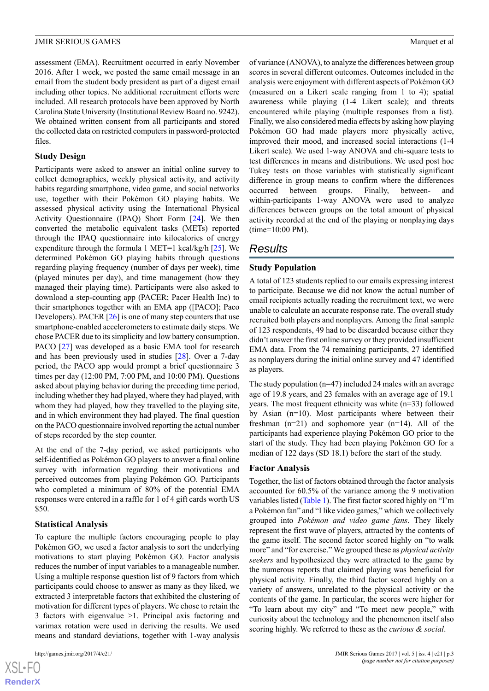assessment (EMA). Recruitment occurred in early November 2016. After 1 week, we posted the same email message in an email from the student body president as part of a digest email including other topics. No additional recruitment efforts were included. All research protocols have been approved by North Carolina State University (Institutional Review Board no. 9242). We obtained written consent from all participants and stored the collected data on restricted computers in password-protected files.

#### **Study Design**

Participants were asked to answer an initial online survey to collect demographics, weekly physical activity, and activity habits regarding smartphone, video game, and social networks use, together with their Pokémon GO playing habits. We assessed physical activity using the International Physical Activity Questionnaire (IPAQ) Short Form [\[24](#page-10-1)]. We then converted the metabolic equivalent tasks (METs) reported through the IPAQ questionnaire into kilocalories of energy expenditure through the formula 1 MET=1 kcal/kg/h [\[25](#page-10-2)]. We determined Pokémon GO playing habits through questions regarding playing frequency (number of days per week), time (played minutes per day), and time management (how they managed their playing time). Participants were also asked to download a step-counting app (PACER; Pacer Health Inc) to their smartphones together with an EMA app ([PACO]; Paco Developers). PACER [\[26](#page-10-3)] is one of many step counters that use smartphone-enabled accelerometers to estimate daily steps. We chose PACER due to its simplicity and low battery consumption. PACO [\[27](#page-10-4)] was developed as a basic EMA tool for research and has been previously used in studies [[28\]](#page-10-5). Over a 7-day period, the PACO app would prompt a brief questionnaire 3 times per day (12:00 PM, 7:00 PM, and 10:00 PM). Questions asked about playing behavior during the preceding time period, including whether they had played, where they had played, with whom they had played, how they travelled to the playing site, and in which environment they had played. The final question on the PACO questionnaire involved reporting the actual number of steps recorded by the step counter.

At the end of the 7-day period, we asked participants who self-identified as Pokémon GO players to answer a final online survey with information regarding their motivations and perceived outcomes from playing Pokémon GO. Participants who completed a minimum of 80% of the potential EMA responses were entered in a raffle for 1 of 4 gift cards worth US \$50.

#### **Statistical Analysis**

To capture the multiple factors encouraging people to play Pokémon GO, we used a factor analysis to sort the underlying motivations to start playing Pokémon GO. Factor analysis reduces the number of input variables to a manageable number. Using a multiple response question list of 9 factors from which participants could choose to answer as many as they liked, we extracted 3 interpretable factors that exhibited the clustering of motivation for different types of players. We chose to retain the 3 factors with eigenvalue >1. Principal axis factoring and varimax rotation were used in deriving the results. We used means and standard deviations, together with 1-way analysis

 $XS$ -FO **[RenderX](http://www.renderx.com/)** of variance (ANOVA), to analyze the differences between group scores in several different outcomes. Outcomes included in the analysis were enjoyment with different aspects of Pokémon GO (measured on a Likert scale ranging from 1 to 4); spatial awareness while playing (1-4 Likert scale); and threats encountered while playing (multiple responses from a list). Finally, we also considered media effects by asking how playing Pokémon GO had made players more physically active, improved their mood, and increased social interactions (1-4 Likert scale). We used 1-way ANOVA and chi-square tests to test differences in means and distributions. We used post hoc Tukey tests on those variables with statistically significant difference in group means to confirm where the differences occurred between groups. Finally, between- and within-participants 1-way ANOVA were used to analyze differences between groups on the total amount of physical activity recorded at the end of the playing or nonplaying days (time=10:00 PM).

# *Results*

#### **Study Population**

A total of 123 students replied to our emails expressing interest to participate. Because we did not know the actual number of email recipients actually reading the recruitment text, we were unable to calculate an accurate response rate. The overall study recruited both players and nonplayers. Among the final sample of 123 respondents, 49 had to be discarded because either they didn't answer the first online survey or they provided insufficient EMA data. From the 74 remaining participants, 27 identified as nonplayers during the initial online survey and 47 identified as players.

The study population (n=47) included 24 males with an average age of 19.8 years, and 23 females with an average age of 19.1 years. The most frequent ethnicity was white (n=33) followed by Asian (n=10). Most participants where between their freshman  $(n=21)$  and sophomore year  $(n=14)$ . All of the participants had experience playing Pokémon GO prior to the start of the study. They had been playing Pokémon GO for a median of 122 days (SD 18.1) before the start of the study.

#### **Factor Analysis**

Together, the list of factors obtained through the factor analysis accounted for 60.5% of the variance among the 9 motivation variables listed ([Table 1\)](#page-4-0). The first factor scored highly on "I'm a Pokémon fan" and "I like video games," which we collectively grouped into *Pokémon and video game fans*. They likely represent the first wave of players, attracted by the contents of the game itself. The second factor scored highly on "to walk more" and "for exercise." We grouped these as *physical activity seekers* and hypothesized they were attracted to the game by the numerous reports that claimed playing was beneficial for physical activity. Finally, the third factor scored highly on a variety of answers, unrelated to the physical activity or the contents of the game. In particular, the scores were higher for "To learn about my city" and "To meet new people," with curiosity about the technology and the phenomenon itself also scoring highly. We referred to these as the *curious & social*.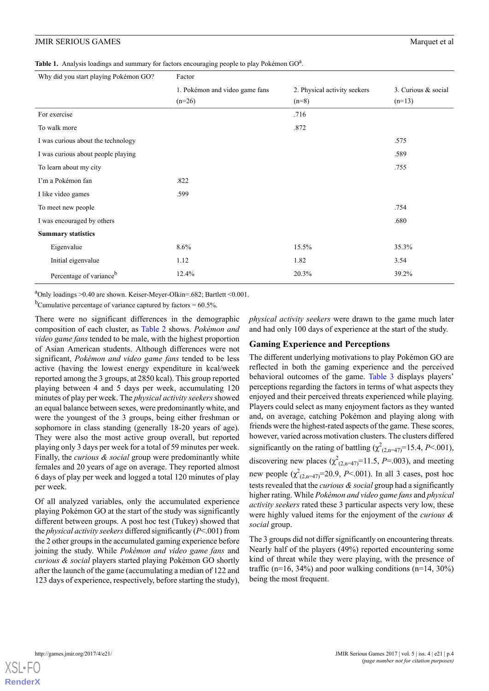<span id="page-4-0"></span>Table 1. Analysis loadings and summary for factors encouraging people to play Pokémon GO<sup>a</sup>.

| Why did you start playing Pokémon GO? | Factor                         |                              |                     |  |  |  |
|---------------------------------------|--------------------------------|------------------------------|---------------------|--|--|--|
|                                       | 1. Pokémon and video game fans | 2. Physical activity seekers | 3. Curious & social |  |  |  |
|                                       | $(n=26)$                       | $(n=8)$                      | $(n=13)$            |  |  |  |
| For exercise                          |                                | .716                         |                     |  |  |  |
| To walk more                          |                                | .872                         |                     |  |  |  |
| I was curious about the technology    |                                |                              | .575                |  |  |  |
| I was curious about people playing    |                                |                              | .589                |  |  |  |
| To learn about my city                |                                |                              | .755                |  |  |  |
| I'm a Pokémon fan                     | .822                           |                              |                     |  |  |  |
| I like video games                    | .599                           |                              |                     |  |  |  |
| To meet new people                    |                                |                              | .754                |  |  |  |
| I was encouraged by others            |                                |                              | .680                |  |  |  |
| <b>Summary statistics</b>             |                                |                              |                     |  |  |  |
| Eigenvalue                            | 8.6%                           | 15.5%                        | 35.3%               |  |  |  |
| Initial eigenvalue                    | 1.12                           | 1.82                         | 3.54                |  |  |  |
| Percentage of variance <sup>b</sup>   | 12.4%                          | 20.3%                        | 39.2%               |  |  |  |

<sup>a</sup>Only loadings >0.40 are shown. Keiser-Meyer-Olkin=.682; Bartlett <0.001.

<sup>b</sup>Cumulative percentage of variance captured by factors =  $60.5\%$ .

There were no significant differences in the demographic composition of each cluster, as [Table 2](#page-5-0) shows. *Pokémon and video game fans* tended to be male, with the highest proportion of Asian American students. Although differences were not significant, *Pokémon and video game fans* tended to be less active (having the lowest energy expenditure in kcal/week reported among the 3 groups, at 2850 kcal). This group reported playing between 4 and 5 days per week, accumulating 120 minutes of play per week. The *physical activity seekers* showed an equal balance between sexes, were predominantly white, and were the youngest of the 3 groups, being either freshman or sophomore in class standing (generally 18-20 years of age). They were also the most active group overall, but reported playing only 3 days per week for a total of 59 minutes per week. Finally, the *curious & social* group were predominantly white females and 20 years of age on average. They reported almost 6 days of play per week and logged a total 120 minutes of play per week.

Of all analyzed variables, only the accumulated experience playing Pokémon GO at the start of the study was significantly different between groups. A post hoc test (Tukey) showed that the *physical activity seekers* differed significantly (*P*<.001) from the 2 other groups in the accumulated gaming experience before joining the study. While *Pokémon and video game fans* and *curious & social* players started playing Pokémon GO shortly after the launch of the game (accumulating a median of 122 and 123 days of experience, respectively, before starting the study),

*physical activity seekers* were drawn to the game much later and had only 100 days of experience at the start of the study.

#### **Gaming Experience and Perceptions**

The different underlying motivations to play Pokémon GO are reflected in both the gaming experience and the perceived behavioral outcomes of the game. [Table 3](#page-5-1) displays players' perceptions regarding the factors in terms of what aspects they enjoyed and their perceived threats experienced while playing. Players could select as many enjoyment factors as they wanted and, on average, catching Pokémon and playing along with friends were the highest-rated aspects of the game. These scores, however, varied across motivation clusters. The clusters differed significantly on the rating of battling  $(\chi^2_{(2,n=47)}=15.4, P<.001)$ , discovering new places  $(\chi^2_{(2,n=47)}=11.5, P=.003)$ , and meeting new people  $(\chi^2_{(2,n=47)}=20.9, P<.001)$ . In all 3 cases, post hoc tests revealed that the *curious & social* group had a significantly higher rating. While *Pokémon and video game fans* and *physical activity seekers* rated these 3 particular aspects very low, these were highly valued items for the enjoyment of the *curious & social* group.

The 3 groups did not differ significantly on encountering threats. Nearly half of the players (49%) reported encountering some kind of threat while they were playing, with the presence of traffic ( $n=16$ ,  $34\%$ ) and poor walking conditions ( $n=14$ ,  $30\%$ ) being the most frequent.

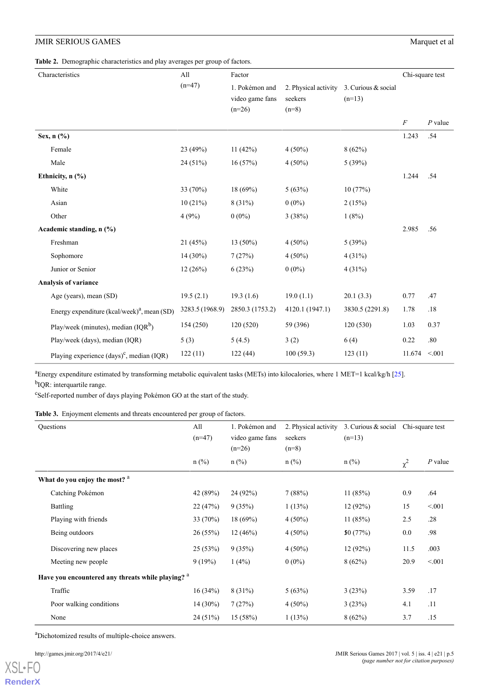<span id="page-5-0"></span>

| Characteristics |                                                                | All             | Factor          |                      |                     | Chi-square test |           |
|-----------------|----------------------------------------------------------------|-----------------|-----------------|----------------------|---------------------|-----------------|-----------|
|                 |                                                                | $(n=47)$        | 1. Pokémon and  | 2. Physical activity | 3. Curious & social |                 |           |
|                 |                                                                |                 | video game fans | seekers              | $(n=13)$            |                 |           |
|                 |                                                                |                 | $(n=26)$        | $(n=8)$              |                     |                 |           |
|                 |                                                                |                 |                 |                      |                     | $\cal F$        | $P$ value |
|                 | Sex, n (%)                                                     |                 |                 |                      |                     | 1.243           | .54       |
|                 | Female                                                         | 23 (49%)        | 11 $(42%)$      | $4(50\%)$            | 8(62%)              |                 |           |
|                 | Male                                                           | 24 (51%)        | 16(57%)         | $4(50\%)$            | 5(39%)              |                 |           |
|                 | Ethnicity, n (%)                                               |                 |                 |                      |                     | 1.244           | .54       |
|                 | White                                                          | 33 (70%)        | 18 (69%)        | 5(63%)               | 10(77%)             |                 |           |
|                 | Asian                                                          | 10(21%)         | 8(31%)          | $0(0\%)$             | 2(15%)              |                 |           |
|                 | Other                                                          | 4(9%)           | $0(0\%)$        | 3(38%)               | 1(8%)               |                 |           |
|                 | Academic standing, n (%)                                       |                 |                 |                      |                     | 2.985           | .56       |
|                 | Freshman                                                       | 21 (45%)        | 13 (50%)        | $4(50\%)$            | 5(39%)              |                 |           |
|                 | Sophomore                                                      | 14 (30%)        | 7(27%)          | $4(50\%)$            | 4(31%)              |                 |           |
|                 | Junior or Senior                                               | 12(26%)         | 6(23%)          | $0(0\%)$             | 4(31%)              |                 |           |
|                 | Analysis of variance                                           |                 |                 |                      |                     |                 |           |
|                 | Age (years), mean (SD)                                         | 19.5(2.1)       | 19.3(1.6)       | 19.0(1.1)            | 20.1(3.3)           | 0.77            | .47       |
|                 | Energy expenditure $(kcal/week)^{a}$ , mean (SD)               | 3283.5 (1968.9) | 2850.3 (1753.2) | 4120.1 (1947.1)      | 3830.5 (2291.8)     | 1.78            | .18       |
|                 | Play/week (minutes), median $(IQR^b)$                          | 154 (250)       | 120(520)        | 59 (396)             | 120(530)            | 1.03            | 0.37      |
|                 | Play/week (days), median (IQR)                                 | 5(3)            | 5(4.5)          | 3(2)                 | 6(4)                | 0.22            | .80       |
|                 | Playing experience $\left(\text{days}\right)^c$ , median (IQR) | 122(11)         | 122(44)         | 100(59.3)            | 123(11)             | 11.674          | < 0.01    |

<span id="page-5-1"></span><sup>a</sup>Energy expenditure estimated by transforming metabolic equivalent tasks (METs) into kilocalories, where 1 MET=1 kcal/kg/h [\[25\]](#page-10-2).

<sup>b</sup>IQR: interquartile range.

c Self-reported number of days playing Pokémon GO at the start of the study.

**Table 3.** Enjoyment elements and threats encountered per group of factors.

| Questions                                                    | All<br>$(n=47)$ | 1. Pokémon and<br>video game fans<br>$(n=26)$ | 2. Physical activity<br>seekers<br>$(n=8)$ | 3. Curious $& social$ Chi-square test<br>$(n=13)$ |          |           |
|--------------------------------------------------------------|-----------------|-----------------------------------------------|--------------------------------------------|---------------------------------------------------|----------|-----------|
|                                                              | $n$ (%)         | $n$ (%)                                       | $n$ (%)                                    | $n$ (%)                                           | $\chi^2$ | $P$ value |
| What do you enjoy the most? <sup>a</sup>                     |                 |                                               |                                            |                                                   |          |           |
| Catching Pokémon                                             | 42 (89%)        | 24 (92%)                                      | 7(88%)                                     | 11(85%)                                           | 0.9      | .64       |
| Battling                                                     | 22 (47%)        | 9(35%)                                        | 1(13%)                                     | 12(92%)                                           | 15       | < 0.01    |
| Playing with friends                                         | 33 (70%)        | 18(69%)                                       | $4(50\%)$                                  | 11(85%)                                           | 2.5      | .28       |
| Being outdoors                                               | 26(55%)         | 12(46%)                                       | $4(50\%)$                                  | \$0(77%)                                          | $0.0\,$  | .98       |
| Discovering new places                                       | 25 (53%)        | 9(35%)                                        | $4(50\%)$                                  | 12(92%)                                           | 11.5     | .003      |
| Meeting new people                                           | 9(19%)          | $1(4\%)$                                      | $0(0\%)$                                   | 8(62%)                                            | 20.9     | < 0.01    |
| Have you encountered any threats while playing? <sup>a</sup> |                 |                                               |                                            |                                                   |          |           |
| Traffic                                                      | 16(34%)         | $8(31\%)$                                     | 5(63%)                                     | 3(23%)                                            | 3.59     | .17       |
| Poor walking conditions                                      | $14(30\%)$      | 7(27%)                                        | $4(50\%)$                                  | 3(23%)                                            | 4.1      | .11       |
| None                                                         | 24 (51%)        | 15 (58%)                                      | 1(13%)                                     | 8(62%)                                            | 3.7      | .15       |

<sup>a</sup>Dichotomized results of multiple-choice answers.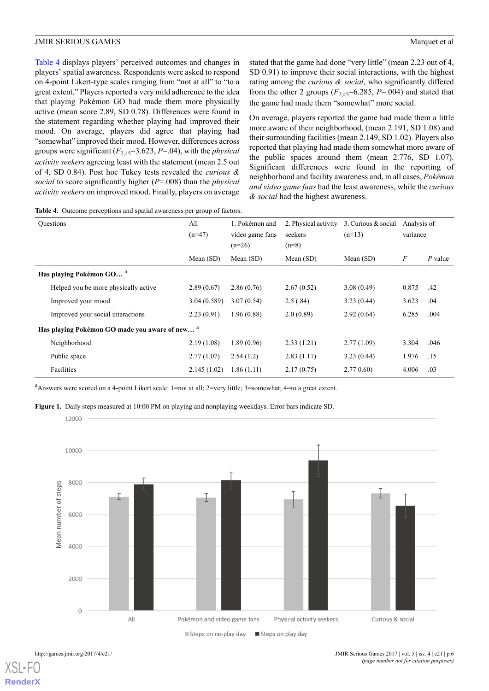[Table 4](#page-6-0) displays players' perceived outcomes and changes in players' spatial awareness. Respondents were asked to respond on 4-point Likert-type scales ranging from "not at all" to "to a great extent." Players reported a very mild adherence to the idea that playing Pokémon GO had made them more physically active (mean score 2.89, SD 0.78). Differences were found in the statement regarding whether playing had improved their mood. On average, players did agree that playing had "somewhat" improved their mood. However, differences across groups were significant  $(F_{2,45}=3.623, P=.04)$ , with the *physical activity seekers* agreeing least with the statement (mean 2.5 out of 4, SD 0.84). Post hoc Tukey tests revealed the *curious & social* to score significantly higher (*P*=.008) than the *physical activity seekers* on improved mood. Finally, players on average stated that the game had done "very little" (mean 2.23 out of 4, SD 0.91) to improve their social interactions, with the highest rating among the *curious & social*, who significantly differed from the other 2 groups  $(F_{2,45} = 6.285, P = .004)$  and stated that the game had made them "somewhat" more social.

On average, players reported the game had made them a little more aware of their neighborhood, (mean 2.191, SD 1.08) and their surrounding facilities (mean 2.149, SD 1.02). Players also reported that playing had made them somewhat more aware of the public spaces around them (mean 2.776, SD 1.07). Significant differences were found in the reporting of neighborhood and facility awareness and, in all cases, *Pokémon and video game fans* had the least awareness, while the *curious & social* had the highest awareness.

<span id="page-6-0"></span>**Table 4.** Outcome perceptions and spatial awareness per group of factors.

| <b>Questions</b>                                          | All<br>$(n=47)$ | 1. Pokémon and<br>video game fans<br>$(n=26)$ | 2. Physical activity<br>seekers<br>$(n=8)$ | 3. Curious & social<br>$(n=13)$ | Analysis of<br>variance |           |  |
|-----------------------------------------------------------|-----------------|-----------------------------------------------|--------------------------------------------|---------------------------------|-------------------------|-----------|--|
|                                                           | Mean $(SD)$     | Mean $(SD)$                                   | Mean (SD)                                  | Mean $(SD)$                     | $\boldsymbol{F}$        | $P$ value |  |
| Has playing Pokémon GO <sup>a</sup>                       |                 |                                               |                                            |                                 |                         |           |  |
| Helped you be more physically active                      | 2.89(0.67)      | 2.86(0.76)                                    | 2.67(0.52)                                 | 3.08(0.49)                      | 0.875                   | .42       |  |
| Improved your mood                                        | 3.04(0.589)     | 3.07(0.54)                                    | 2.5(.84)                                   | 3.23(0.44)                      | 3.623                   | .04       |  |
| Improved your social interactions                         | 2.23(0.91)      | 1.96(0.88)                                    | 2.0(0.89)                                  | 2.92(0.64)                      | 6.285                   | .004      |  |
| Has playing Pokémon GO made you aware of new <sup>a</sup> |                 |                                               |                                            |                                 |                         |           |  |
| Neighborhood                                              | 2.19(1.08)      | 1.89(0.96)                                    | 2.33(1.21)                                 | 2.77(1.09)                      | 3.304                   | .046      |  |
| Public space                                              | 2.77(1.07)      | 2.54(1.2)                                     | 2.83(1.17)                                 | 3.23(0.44)                      | 1.976                   | .15       |  |
| Facilities                                                | 2.145(1.02)     | 1.86(1.11)                                    | 2.17(0.75)                                 | 2.770.60                        | 4.006                   | .03       |  |

<span id="page-6-1"></span><sup>a</sup>Answers were scored on a 4-point Likert scale: 1=not at all; 2=very little; 3=somewhat; 4=to a great extent.

**Figure 1.** Daily steps measured at 10:00 PM on playing and nonplaying weekdays. Error bars indicate SD.



[XSL](http://www.w3.org/Style/XSL)•FO **[RenderX](http://www.renderx.com/)**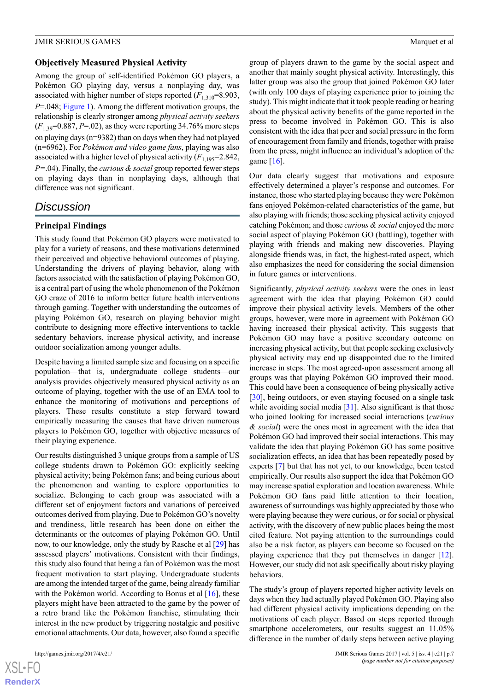#### **Objectively Measured Physical Activity**

Among the group of self-identified Pokémon GO players, a Pokémon GO playing day, versus a nonplaying day, was associated with higher number of steps reported  $(F_{1,310}=8.903)$ , *P*=.048; [Figure 1](#page-6-1)). Among the different motivation groups, the relationship is clearly stronger among *physical activity seekers*  $(F_{1,39}=0.887, P=.02)$ , as they were reporting 34.76% more steps on playing days (n=9382) than on days when they had not played (n=6962). For *Pokémon and video game fans*, playing was also associated with a higher level of physical activity  $(F_{1,195}=2.842)$ , *P=*.04). Finally, the *curious & social* group reported fewer steps on playing days than in nonplaying days, although that difference was not significant.

# *Discussion*

# **Principal Findings**

This study found that Pokémon GO players were motivated to play for a variety of reasons, and these motivations determined their perceived and objective behavioral outcomes of playing. Understanding the drivers of playing behavior, along with factors associated with the satisfaction of playing Pokémon GO, is a central part of using the whole phenomenon of the Pokémon GO craze of 2016 to inform better future health interventions through gaming. Together with understanding the outcomes of playing Pokémon GO, research on playing behavior might contribute to designing more effective interventions to tackle sedentary behaviors, increase physical activity, and increase outdoor socialization among younger adults.

Despite having a limited sample size and focusing on a specific population—that is, undergraduate college students—our analysis provides objectively measured physical activity as an outcome of playing, together with the use of an EMA tool to enhance the monitoring of motivations and perceptions of players. These results constitute a step forward toward empirically measuring the causes that have driven numerous players to Pokémon GO, together with objective measures of their playing experience.

Our results distinguished 3 unique groups from a sample of US college students drawn to Pokémon GO: explicitly seeking physical activity; being Pokémon fans; and being curious about the phenomenon and wanting to explore opportunities to socialize. Belonging to each group was associated with a different set of enjoyment factors and variations of perceived outcomes derived from playing. Due to Pokémon GO's novelty and trendiness, little research has been done on either the determinants or the outcomes of playing Pokémon GO. Until now, to our knowledge, only the study by Rasche et al [[29\]](#page-10-6) has assessed players' motivations. Consistent with their findings, this study also found that being a fan of Pokémon was the most frequent motivation to start playing. Undergraduate students are among the intended target of the game, being already familiar with the Pokémon world. According to Bonus et al [[16\]](#page-9-12), these players might have been attracted to the game by the power of a retro brand like the Pokémon franchise, stimulating their interest in the new product by triggering nostalgic and positive emotional attachments. Our data, however, also found a specific

[XSL](http://www.w3.org/Style/XSL)•FO **[RenderX](http://www.renderx.com/)** group of players drawn to the game by the social aspect and another that mainly sought physical activity. Interestingly, this latter group was also the group that joined Pokémon GO later (with only 100 days of playing experience prior to joining the study). This might indicate that it took people reading or hearing about the physical activity benefits of the game reported in the press to become involved in Pokémon GO. This is also consistent with the idea that peer and social pressure in the form of encouragement from family and friends, together with praise from the press, might influence an individual's adoption of the game [\[16](#page-9-12)].

Our data clearly suggest that motivations and exposure effectively determined a player's response and outcomes. For instance, those who started playing because they were Pokémon fans enjoyed Pokémon-related characteristics of the game, but also playing with friends; those seeking physical activity enjoyed catching Pokémon; and those *curious & social* enjoyed the more social aspect of playing Pokémon GO (battling), together with playing with friends and making new discoveries. Playing alongside friends was, in fact, the highest-rated aspect, which also emphasizes the need for considering the social dimension in future games or interventions.

Significantly, *physical activity seekers* were the ones in least agreement with the idea that playing Pokémon GO could improve their physical activity levels. Members of the other groups, however, were more in agreement with Pokémon GO having increased their physical activity. This suggests that Pokémon GO may have a positive secondary outcome on increasing physical activity, but that people seeking exclusively physical activity may end up disappointed due to the limited increase in steps. The most agreed-upon assessment among all groups was that playing Pokémon GO improved their mood. This could have been a consequence of being physically active [[30\]](#page-10-7), being outdoors, or even staying focused on a single task while avoiding social media [\[31](#page-10-8)]. Also significant is that those who joined looking for increased social interactions (*curious & social*) were the ones most in agreement with the idea that Pokémon GO had improved their social interactions. This may validate the idea that playing Pokémon GO has some positive socialization effects, an idea that has been repeatedly posed by experts [[7\]](#page-9-20) but that has not yet, to our knowledge, been tested empirically. Our results also support the idea that Pokémon GO may increase spatial exploration and location awareness. While Pokémon GO fans paid little attention to their location, awareness of surroundings was highly appreciated by those who were playing because they were curious, or for social or physical activity, with the discovery of new public places being the most cited feature. Not paying attention to the surroundings could also be a risk factor, as players can become so focused on the playing experience that they put themselves in danger [[12\]](#page-9-8). However, our study did not ask specifically about risky playing behaviors.

The study's group of players reported higher activity levels on days when they had actually played Pokémon GO. Playing also had different physical activity implications depending on the motivations of each player. Based on steps reported through smartphone accelerometers, our results suggest an  $11.05\%$ difference in the number of daily steps between active playing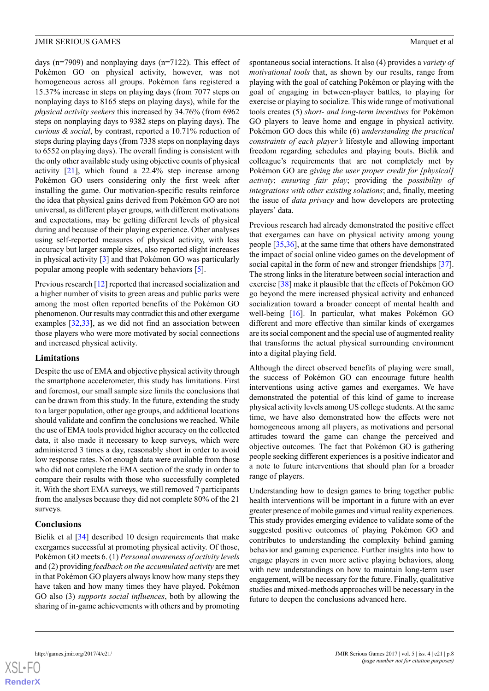days (n=7909) and nonplaying days (n=7122). This effect of Pokémon GO on physical activity, however, was not homogeneous across all groups. Pokémon fans registered a 15.37% increase in steps on playing days (from 7077 steps on nonplaying days to 8165 steps on playing days), while for the *physical activity seekers* this increased by 34.76% (from 6962 steps on nonplaying days to 9382 steps on playing days). The *curious & social*, by contrast, reported a 10.71% reduction of steps during playing days (from 7338 steps on nonplaying days to 6552 on playing days). The overall finding is consistent with the only other available study using objective counts of physical activity  $[21]$  $[21]$ , which found a 22.4% step increase among Pokémon GO users considering only the first week after installing the game. Our motivation-specific results reinforce the idea that physical gains derived from Pokémon GO are not universal, as different player groups, with different motivations and expectations, may be getting different levels of physical during and because of their playing experience. Other analyses using self-reported measures of physical activity, with less accuracy but larger sample sizes, also reported slight increases in physical activity [[3\]](#page-9-2) and that Pokémon GO was particularly popular among people with sedentary behaviors [\[5](#page-9-17)].

Previous research [[12\]](#page-9-8) reported that increased socialization and a higher number of visits to green areas and public parks were among the most often reported benefits of the Pokémon GO phenomenon. Our results may contradict this and other exergame examples [\[32](#page-10-9),[33\]](#page-10-10), as we did not find an association between those players who were more motivated by social connections and increased physical activity.

# **Limitations**

Despite the use of EMA and objective physical activity through the smartphone accelerometer, this study has limitations. First and foremost, our small sample size limits the conclusions that can be drawn from this study. In the future, extending the study to a larger population, other age groups, and additional locations should validate and confirm the conclusions we reached. While the use of EMA tools provided higher accuracy on the collected data, it also made it necessary to keep surveys, which were administered 3 times a day, reasonably short in order to avoid low response rates. Not enough data were available from those who did not complete the EMA section of the study in order to compare their results with those who successfully completed it. With the short EMA surveys, we still removed 7 participants from the analyses because they did not complete 80% of the 21 surveys.

# **Conclusions**

Bielik et al [[34\]](#page-10-11) described 10 design requirements that make exergames successful at promoting physical activity. Of those, Pokémon GO meets 6. (1) *Personal awareness of activity levels* and (2) providing *feedback on the accumulated activity* are met in that Pokémon GO players always know how many steps they have taken and how many times they have played. Pokémon GO also (3) *supports social influences*, both by allowing the sharing of in-game achievements with others and by promoting

spontaneous social interactions. It also (4) provides a *variety of motivational tools* that, as shown by our results, range from playing with the goal of catching Pokémon or playing with the goal of engaging in between-player battles, to playing for exercise or playing to socialize. This wide range of motivational tools creates (5) *short- and long-term incentives* for Pokémon GO players to leave home and engage in physical activity. Pokémon GO does this while (6) *understanding the practical constraints of each player's* lifestyle and allowing important freedom regarding schedules and playing bouts. Bielik and colleague's requirements that are not completely met by Pokémon GO are *giving the user proper credit for [physical] activity*; *ensuring fair play*; providing the *possibility of integrations with other existing solutions*; and, finally, meeting the issue of *data privacy* and how developers are protecting players' data.

Previous research had already demonstrated the positive effect that exergames can have on physical activity among young people [[35](#page-10-12)[,36](#page-10-13)], at the same time that others have demonstrated the impact of social online video games on the development of social capital in the form of new and stronger friendships [[37\]](#page-10-14). The strong links in the literature between social interaction and exercise [[38\]](#page-10-15) make it plausible that the effects of Pokémon GO go beyond the mere increased physical activity and enhanced socialization toward a broader concept of mental health and well-being [[16\]](#page-9-12). In particular, what makes Pokémon GO different and more effective than similar kinds of exergames are its social component and the special use of augmented reality that transforms the actual physical surrounding environment into a digital playing field.

Although the direct observed benefits of playing were small, the success of Pokémon GO can encourage future health interventions using active games and exergames. We have demonstrated the potential of this kind of game to increase physical activity levels among US college students. At the same time, we have also demonstrated how the effects were not homogeneous among all players, as motivations and personal attitudes toward the game can change the perceived and objective outcomes. The fact that Pokémon GO is gathering people seeking different experiences is a positive indicator and a note to future interventions that should plan for a broader range of players.

Understanding how to design games to bring together public health interventions will be important in a future with an ever greater presence of mobile games and virtual reality experiences. This study provides emerging evidence to validate some of the suggested positive outcomes of playing Pokémon GO and contributes to understanding the complexity behind gaming behavior and gaming experience. Further insights into how to engage players in even more active playing behaviors, along with new understandings on how to maintain long-term user engagement, will be necessary for the future. Finally, qualitative studies and mixed-methods approaches will be necessary in the future to deepen the conclusions advanced here.

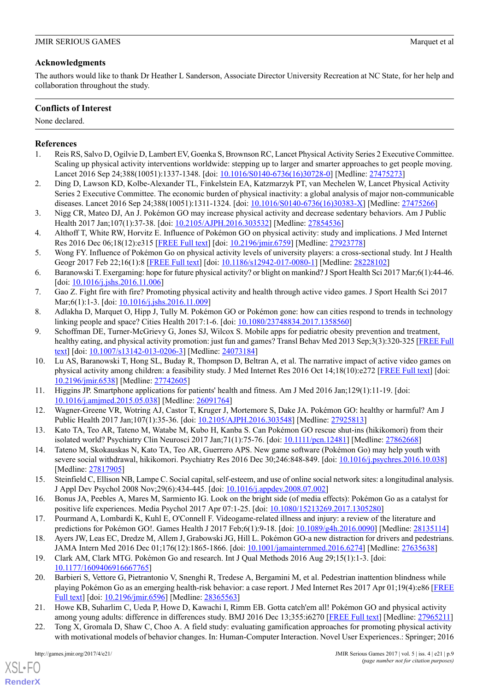# **Acknowledgments**

The authors would like to thank Dr Heather L Sanderson, Associate Director University Recreation at NC State, for her help and collaboration throughout the study.

# **Conflicts of Interest**

None declared.

# <span id="page-9-0"></span>**References**

- <span id="page-9-1"></span>1. Reis RS, Salvo D, Ogilvie D, Lambert EV, Goenka S, Brownson RC, Lancet Physical Activity Series 2 Executive Committee. Scaling up physical activity interventions worldwide: stepping up to larger and smarter approaches to get people moving. Lancet 2016 Sep 24;388(10051):1337-1348. [doi: [10.1016/S0140-6736\(16\)30728-0](http://dx.doi.org/10.1016/S0140-6736(16)30728-0)] [Medline: [27475273\]](http://www.ncbi.nlm.nih.gov/entrez/query.fcgi?cmd=Retrieve&db=PubMed&list_uids=27475273&dopt=Abstract)
- <span id="page-9-2"></span>2. Ding D, Lawson KD, Kolbe-Alexander TL, Finkelstein EA, Katzmarzyk PT, van Mechelen W, Lancet Physical Activity Series 2 Executive Committee. The economic burden of physical inactivity: a global analysis of major non-communicable diseases. Lancet 2016 Sep 24;388(10051):1311-1324. [doi: [10.1016/S0140-6736\(16\)30383-X\]](http://dx.doi.org/10.1016/S0140-6736(16)30383-X) [Medline: [27475266\]](http://www.ncbi.nlm.nih.gov/entrez/query.fcgi?cmd=Retrieve&db=PubMed&list_uids=27475266&dopt=Abstract)
- <span id="page-9-3"></span>3. Nigg CR, Mateo DJ, An J. Pokémon GO may increase physical activity and decrease sedentary behaviors. Am J Public Health 2017 Jan;107(1):37-38. [doi: [10.2105/AJPH.2016.303532\]](http://dx.doi.org/10.2105/AJPH.2016.303532) [Medline: [27854536](http://www.ncbi.nlm.nih.gov/entrez/query.fcgi?cmd=Retrieve&db=PubMed&list_uids=27854536&dopt=Abstract)]
- <span id="page-9-17"></span>4. Althoff T, White RW, Horvitz E. Influence of Pokémon GO on physical activity: study and implications. J Med Internet Res 2016 Dec 06;18(12):e315 [\[FREE Full text](http://www.jmir.org/2016/12/e315/)] [doi: [10.2196/jmir.6759](http://dx.doi.org/10.2196/jmir.6759)] [Medline: [27923778\]](http://www.ncbi.nlm.nih.gov/entrez/query.fcgi?cmd=Retrieve&db=PubMed&list_uids=27923778&dopt=Abstract)
- 5. Wong FY. Influence of Pokémon Go on physical activity levels of university players: a cross-sectional study. Int J Health Geogr 2017 Feb 22;16(1):8 [\[FREE Full text](https://ij-healthgeographics.biomedcentral.com/articles/10.1186/s12942-017-0080-1)] [doi: [10.1186/s12942-017-0080-1\]](http://dx.doi.org/10.1186/s12942-017-0080-1) [Medline: [28228102](http://www.ncbi.nlm.nih.gov/entrez/query.fcgi?cmd=Retrieve&db=PubMed&list_uids=28228102&dopt=Abstract)]
- <span id="page-9-20"></span><span id="page-9-4"></span>6. Baranowski T. Exergaming: hope for future physical activity? or blight on mankind? J Sport Health Sci 2017 Mar;6(1):44-46. [doi: [10.1016/j.jshs.2016.11.006](http://dx.doi.org/10.1016/j.jshs.2016.11.006)]
- <span id="page-9-5"></span>7. Gao Z. Fight fire with fire? Promoting physical activity and health through active video games. J Sport Health Sci 2017 Mar; 6(1):1-3. [doi: 10.1016/j.jshs. 2016.11.009]
- 8. Adlakha D, Marquet O, Hipp J, Tully M. Pokémon GO or Pokémon gone: how can cities respond to trends in technology linking people and space? Cities Health 2017:1-6. [doi: [10.1080/23748834.2017.1358560](http://dx.doi.org/10.1080/23748834.2017.1358560)]
- <span id="page-9-6"></span>9. Schoffman DE, Turner-McGrievy G, Jones SJ, Wilcox S. Mobile apps for pediatric obesity prevention and treatment, healthy eating, and physical activity promotion: just fun and games? Transl Behav Med 2013 Sep;3(3):320-325 [\[FREE Full](http://europepmc.org/abstract/MED/24073184) [text\]](http://europepmc.org/abstract/MED/24073184) [doi: [10.1007/s13142-013-0206-3\]](http://dx.doi.org/10.1007/s13142-013-0206-3) [Medline: [24073184\]](http://www.ncbi.nlm.nih.gov/entrez/query.fcgi?cmd=Retrieve&db=PubMed&list_uids=24073184&dopt=Abstract)
- <span id="page-9-8"></span><span id="page-9-7"></span>10. Lu AS, Baranowski T, Hong SL, Buday R, Thompson D, Beltran A, et al. The narrative impact of active video games on physical activity among children: a feasibility study. J Med Internet Res 2016 Oct 14;18(10):e272 [[FREE Full text](http://www.jmir.org/2016/10/e272/)] [doi: [10.2196/jmir.6538](http://dx.doi.org/10.2196/jmir.6538)] [Medline: [27742605](http://www.ncbi.nlm.nih.gov/entrez/query.fcgi?cmd=Retrieve&db=PubMed&list_uids=27742605&dopt=Abstract)]
- <span id="page-9-9"></span>11. Higgins JP. Smartphone applications for patients' health and fitness. Am J Med 2016 Jan;129(1):11-19. [doi: [10.1016/j.amjmed.2015.05.038\]](http://dx.doi.org/10.1016/j.amjmed.2015.05.038) [Medline: [26091764\]](http://www.ncbi.nlm.nih.gov/entrez/query.fcgi?cmd=Retrieve&db=PubMed&list_uids=26091764&dopt=Abstract)
- <span id="page-9-10"></span>12. Wagner-Greene VR, Wotring AJ, Castor T, Kruger J, Mortemore S, Dake JA. Pokémon GO: healthy or harmful? Am J Public Health 2017 Jan;107(1):35-36. [doi: [10.2105/AJPH.2016.303548\]](http://dx.doi.org/10.2105/AJPH.2016.303548) [Medline: [27925813](http://www.ncbi.nlm.nih.gov/entrez/query.fcgi?cmd=Retrieve&db=PubMed&list_uids=27925813&dopt=Abstract)]
- <span id="page-9-11"></span>13. Kato TA, Teo AR, Tateno M, Watabe M, Kubo H, Kanba S. Can Pokémon GO rescue shut-ins (hikikomori) from their isolated world? Psychiatry Clin Neurosci 2017 Jan;71(1):75-76. [doi: [10.1111/pcn.12481](http://dx.doi.org/10.1111/pcn.12481)] [Medline: [27862668\]](http://www.ncbi.nlm.nih.gov/entrez/query.fcgi?cmd=Retrieve&db=PubMed&list_uids=27862668&dopt=Abstract)
- <span id="page-9-12"></span>14. Tateno M, Skokauskas N, Kato TA, Teo AR, Guerrero APS. New game software (Pokémon Go) may help youth with severe social withdrawal, hikikomori. Psychiatry Res 2016 Dec 30;246:848-849. [doi: [10.1016/j.psychres.2016.10.038](http://dx.doi.org/10.1016/j.psychres.2016.10.038)] [Medline: [27817905](http://www.ncbi.nlm.nih.gov/entrez/query.fcgi?cmd=Retrieve&db=PubMed&list_uids=27817905&dopt=Abstract)]
- <span id="page-9-14"></span><span id="page-9-13"></span>15. Steinfield C, Ellison NB, Lampe C. Social capital, self-esteem, and use of online social network sites: a longitudinal analysis. J Appl Dev Psychol 2008 Nov;29(6):434-445. [doi: [10.1016/j.appdev.2008.07.002\]](http://dx.doi.org/10.1016/j.appdev.2008.07.002)
- <span id="page-9-15"></span>16. Bonus JA, Peebles A, Mares M, Sarmiento IG. Look on the bright side (of media effects): Pokémon Go as a catalyst for positive life experiences. Media Psychol 2017 Apr 07:1-25. [doi: [10.1080/15213269.2017.1305280](http://dx.doi.org/10.1080/15213269.2017.1305280)]
- <span id="page-9-16"></span>17. Pourmand A, Lombardi K, Kuhl E, O'Connell F. Videogame-related illness and injury: a review of the literature and predictions for Pokémon GO!. Games Health J 2017 Feb;6(1):9-18. [doi: [10.1089/g4h.2016.0090](http://dx.doi.org/10.1089/g4h.2016.0090)] [Medline: [28135114](http://www.ncbi.nlm.nih.gov/entrez/query.fcgi?cmd=Retrieve&db=PubMed&list_uids=28135114&dopt=Abstract)]
- <span id="page-9-18"></span>18. Ayers JW, Leas EC, Dredze M, Allem J, Grabowski JG, Hill L. Pokémon GO-a new distraction for drivers and pedestrians. JAMA Intern Med 2016 Dec 01;176(12):1865-1866. [doi: [10.1001/jamainternmed.2016.6274\]](http://dx.doi.org/10.1001/jamainternmed.2016.6274) [Medline: [27635638](http://www.ncbi.nlm.nih.gov/entrez/query.fcgi?cmd=Retrieve&db=PubMed&list_uids=27635638&dopt=Abstract)]
- <span id="page-9-19"></span>19. Clark AM, Clark MTG. Pokémon Go and research. Int J Qual Methods 2016 Aug 29;15(1):1-3. [doi: [10.1177/1609406916667765](http://dx.doi.org/10.1177/1609406916667765)]
- 20. Barbieri S, Vettore G, Pietrantonio V, Snenghi R, Tredese A, Bergamini M, et al. Pedestrian inattention blindness while playing Pokémon Go as an emerging health-risk behavior: a case report. J Med Internet Res 2017 Apr 01;19(4):e86 [\[FREE](http://www.jmir.org/2017/4/e86/) [Full text](http://www.jmir.org/2017/4/e86/)] [doi: [10.2196/jmir.6596](http://dx.doi.org/10.2196/jmir.6596)] [Medline: [28365563\]](http://www.ncbi.nlm.nih.gov/entrez/query.fcgi?cmd=Retrieve&db=PubMed&list_uids=28365563&dopt=Abstract)
- 21. Howe KB, Suharlim C, Ueda P, Howe D, Kawachi I, Rimm EB. Gotta catch'em all! Pokémon GO and physical activity among young adults: difference in differences study. BMJ 2016 Dec 13;355:i6270 [[FREE Full text](http://www.bmj.com/cgi/pmidlookup?view=long&pmid=27965211)] [Medline: [27965211\]](http://www.ncbi.nlm.nih.gov/entrez/query.fcgi?cmd=Retrieve&db=PubMed&list_uids=27965211&dopt=Abstract)
- 22. Tong X, Gromala D, Shaw C, Choo A. A field study: evaluating gamification approaches for promoting physical activity with motivational models of behavior changes. In: Human-Computer Interaction. Novel User Experiences.: Springer; 2016

[XSL](http://www.w3.org/Style/XSL)•FO **[RenderX](http://www.renderx.com/)**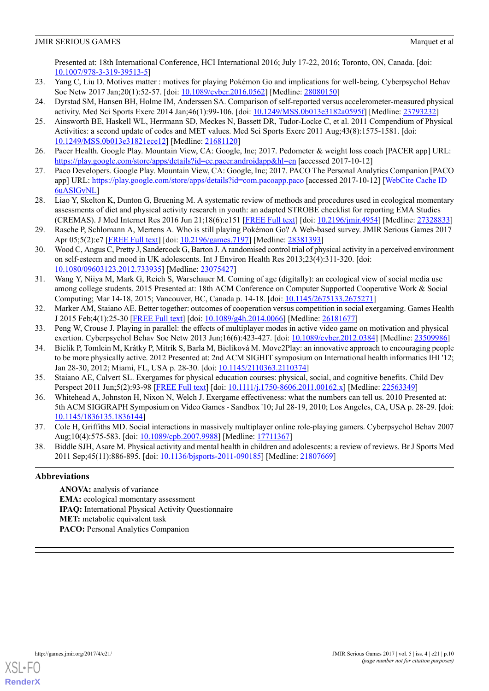Presented at: 18th International Conference, HCI International 2016; July 17-22, 2016; Toronto, ON, Canada. [doi: [10.1007/978-3-319-39513-5](http://dx.doi.org/10.1007/978-3-319-39513-5)]

- <span id="page-10-1"></span><span id="page-10-0"></span>23. Yang C, Liu D. Motives matter : motives for playing Pokémon Go and implications for well-being. Cyberpsychol Behav Soc Netw 2017 Jan;20(1):52-57. [doi: [10.1089/cyber.2016.0562\]](http://dx.doi.org/10.1089/cyber.2016.0562) [Medline: [28080150](http://www.ncbi.nlm.nih.gov/entrez/query.fcgi?cmd=Retrieve&db=PubMed&list_uids=28080150&dopt=Abstract)]
- <span id="page-10-2"></span>24. Dyrstad SM, Hansen BH, Holme IM, Anderssen SA. Comparison of self-reported versus accelerometer-measured physical activity. Med Sci Sports Exerc 2014 Jan;46(1):99-106. [doi: [10.1249/MSS.0b013e3182a0595f](http://dx.doi.org/10.1249/MSS.0b013e3182a0595f)] [Medline: [23793232](http://www.ncbi.nlm.nih.gov/entrez/query.fcgi?cmd=Retrieve&db=PubMed&list_uids=23793232&dopt=Abstract)]
- 25. Ainsworth BE, Haskell WL, Herrmann SD, Meckes N, Bassett DR, Tudor-Locke C, et al. 2011 Compendium of Physical Activities: a second update of codes and MET values. Med Sci Sports Exerc 2011 Aug;43(8):1575-1581. [doi: [10.1249/MSS.0b013e31821ece12](http://dx.doi.org/10.1249/MSS.0b013e31821ece12)] [Medline: [21681120](http://www.ncbi.nlm.nih.gov/entrez/query.fcgi?cmd=Retrieve&db=PubMed&list_uids=21681120&dopt=Abstract)]
- <span id="page-10-4"></span><span id="page-10-3"></span>26. Pacer Health. Google Play. Mountain View, CA: Google, Inc; 2017. Pedometer & weight loss coach [PACER app] URL: <https://play.google.com/store/apps/details?id=cc.pacer.androidapp&hl=en> [accessed 2017-10-12]
- <span id="page-10-5"></span>27. Paco Developers. Google Play. Mountain View, CA: Google, Inc; 2017. PACO The Personal Analytics Companion [PACO app] URL:<https://play.google.com/store/apps/details?id=com.pacoapp.paco> [accessed 2017-10-12] [\[WebCite Cache ID](http://www.webcitation.org/6uASlGvNL) [6uASlGvNL\]](http://www.webcitation.org/6uASlGvNL)
- <span id="page-10-6"></span>28. Liao Y, Skelton K, Dunton G, Bruening M. A systematic review of methods and procedures used in ecological momentary assessments of diet and physical activity research in youth: an adapted STROBE checklist for reporting EMA Studies (CREMAS). J Med Internet Res 2016 Jun 21;18(6):e151 [[FREE Full text](http://www.jmir.org/2016/6/e151/)] [doi: [10.2196/jmir.4954](http://dx.doi.org/10.2196/jmir.4954)] [Medline: [27328833](http://www.ncbi.nlm.nih.gov/entrez/query.fcgi?cmd=Retrieve&db=PubMed&list_uids=27328833&dopt=Abstract)]
- <span id="page-10-7"></span>29. Rasche P, Schlomann A, Mertens A. Who is still playing Pokémon Go? A Web-based survey. JMIR Serious Games 2017 Apr 05;5(2):e7 [\[FREE Full text](http://games.jmir.org/2017/2/e7/)] [doi: [10.2196/games.7197](http://dx.doi.org/10.2196/games.7197)] [Medline: [28381393\]](http://www.ncbi.nlm.nih.gov/entrez/query.fcgi?cmd=Retrieve&db=PubMed&list_uids=28381393&dopt=Abstract)
- <span id="page-10-8"></span>30. Wood C, Angus C, Pretty J, Sandercock G, Barton J. A randomised control trial of physical activity in a perceived environment on self-esteem and mood in UK adolescents. Int J Environ Health Res 2013;23(4):311-320. [doi: [10.1080/09603123.2012.733935\]](http://dx.doi.org/10.1080/09603123.2012.733935) [Medline: [23075427](http://www.ncbi.nlm.nih.gov/entrez/query.fcgi?cmd=Retrieve&db=PubMed&list_uids=23075427&dopt=Abstract)]
- <span id="page-10-9"></span>31. Wang Y, Niiya M, Mark G, Reich S, Warschauer M. Coming of age (digitally): an ecological view of social media use among college students. 2015 Presented at: 18th ACM Conference on Computer Supported Cooperative Work & Social Computing; Mar 14-18, 2015; Vancouver, BC, Canada p. 14-18. [doi: [10.1145/2675133.2675271\]](http://dx.doi.org/10.1145/2675133.2675271)
- <span id="page-10-11"></span><span id="page-10-10"></span>32. Marker AM, Staiano AE. Better together: outcomes of cooperation versus competition in social exergaming. Games Health J 2015 Feb;4(1):25-30 [[FREE Full text](http://europepmc.org/abstract/MED/26181677)] [doi: [10.1089/g4h.2014.0066\]](http://dx.doi.org/10.1089/g4h.2014.0066) [Medline: [26181677](http://www.ncbi.nlm.nih.gov/entrez/query.fcgi?cmd=Retrieve&db=PubMed&list_uids=26181677&dopt=Abstract)]
- 33. Peng W, Crouse J. Playing in parallel: the effects of multiplayer modes in active video game on motivation and physical exertion. Cyberpsychol Behav Soc Netw 2013 Jun;16(6):423-427. [doi: [10.1089/cyber.2012.0384](http://dx.doi.org/10.1089/cyber.2012.0384)] [Medline: [23509986\]](http://www.ncbi.nlm.nih.gov/entrez/query.fcgi?cmd=Retrieve&db=PubMed&list_uids=23509986&dopt=Abstract)
- <span id="page-10-13"></span><span id="page-10-12"></span>34. Bielik P, Tomlein M, Krátky P, Mitrík S, Barla M, Bieliková M. Move2Play: an innovative approach to encouraging people to be more physically active. 2012 Presented at: 2nd ACM SIGHIT symposium on International health informatics IHI '12; Jan 28-30, 2012; Miami, FL, USA p. 28-30. [doi: [10.1145/2110363.2110374](http://dx.doi.org/10.1145/2110363.2110374)]
- <span id="page-10-14"></span>35. Staiano AE, Calvert SL. Exergames for physical education courses: physical, social, and cognitive benefits. Child Dev Perspect 2011 Jun;5(2):93-98 [\[FREE Full text\]](http://europepmc.org/abstract/MED/22563349) [doi: [10.1111/j.1750-8606.2011.00162.x\]](http://dx.doi.org/10.1111/j.1750-8606.2011.00162.x) [Medline: [22563349\]](http://www.ncbi.nlm.nih.gov/entrez/query.fcgi?cmd=Retrieve&db=PubMed&list_uids=22563349&dopt=Abstract)
- <span id="page-10-15"></span>36. Whitehead A, Johnston H, Nixon N, Welch J. Exergame effectiveness: what the numbers can tell us. 2010 Presented at: 5th ACM SIGGRAPH Symposium on Video Games - Sandbox '10; Jul 28-19, 2010; Los Angeles, CA, USA p. 28-29. [doi: [10.1145/1836135.1836144\]](http://dx.doi.org/10.1145/1836135.1836144)
- 37. Cole H, Griffiths MD. Social interactions in massively multiplayer online role-playing gamers. Cyberpsychol Behav 2007 Aug;10(4):575-583. [doi: [10.1089/cpb.2007.9988](http://dx.doi.org/10.1089/cpb.2007.9988)] [Medline: [17711367\]](http://www.ncbi.nlm.nih.gov/entrez/query.fcgi?cmd=Retrieve&db=PubMed&list_uids=17711367&dopt=Abstract)
- 38. Biddle SJH, Asare M. Physical activity and mental health in children and adolescents: a review of reviews. Br J Sports Med 2011 Sep;45(11):886-895. [doi: [10.1136/bjsports-2011-090185](http://dx.doi.org/10.1136/bjsports-2011-090185)] [Medline: [21807669\]](http://www.ncbi.nlm.nih.gov/entrez/query.fcgi?cmd=Retrieve&db=PubMed&list_uids=21807669&dopt=Abstract)

# **Abbreviations**

**ANOVA:** analysis of variance **EMA:** ecological momentary assessment **IPAQ:** International Physical Activity Questionnaire **MET:** metabolic equivalent task PACO: Personal Analytics Companion